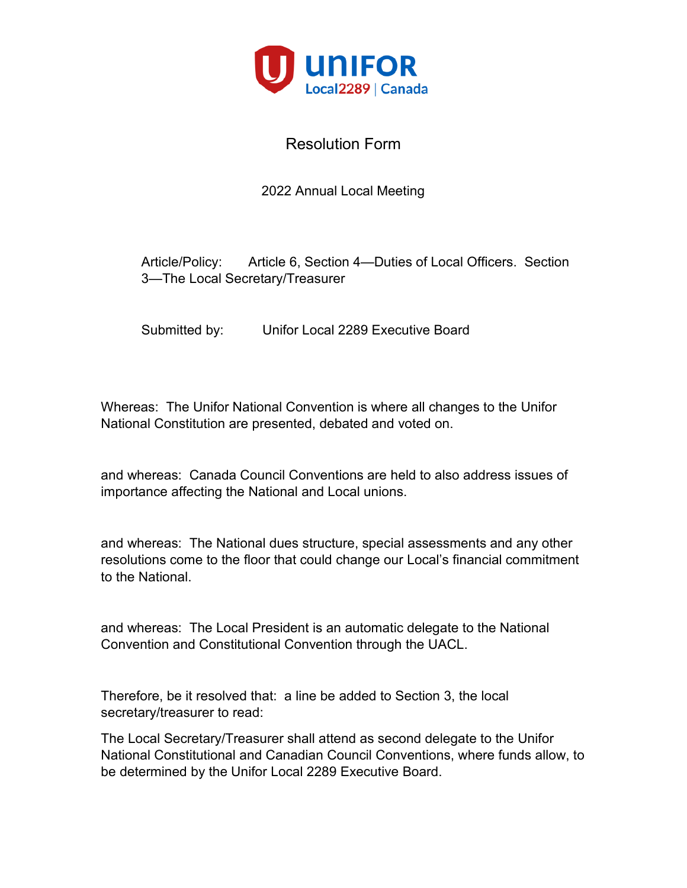

#### 2022 Annual Local Meeting

Article/Policy: Article 6, Section 4—Duties of Local Officers. Section 3—The Local Secretary/Treasurer

Submitted by: Unifor Local 2289 Executive Board

Whereas: The Unifor National Convention is where all changes to the Unifor National Constitution are presented, debated and voted on.

and whereas: Canada Council Conventions are held to also address issues of importance affecting the National and Local unions.

and whereas: The National dues structure, special assessments and any other resolutions come to the floor that could change our Local's financial commitment to the National.

and whereas: The Local President is an automatic delegate to the National Convention and Constitutional Convention through the UACL.

Therefore, be it resolved that: a line be added to Section 3, the local secretary/treasurer to read:

The Local Secretary/Treasurer shall attend as second delegate to the Unifor National Constitutional and Canadian Council Conventions, where funds allow, to be determined by the Unifor Local 2289 Executive Board.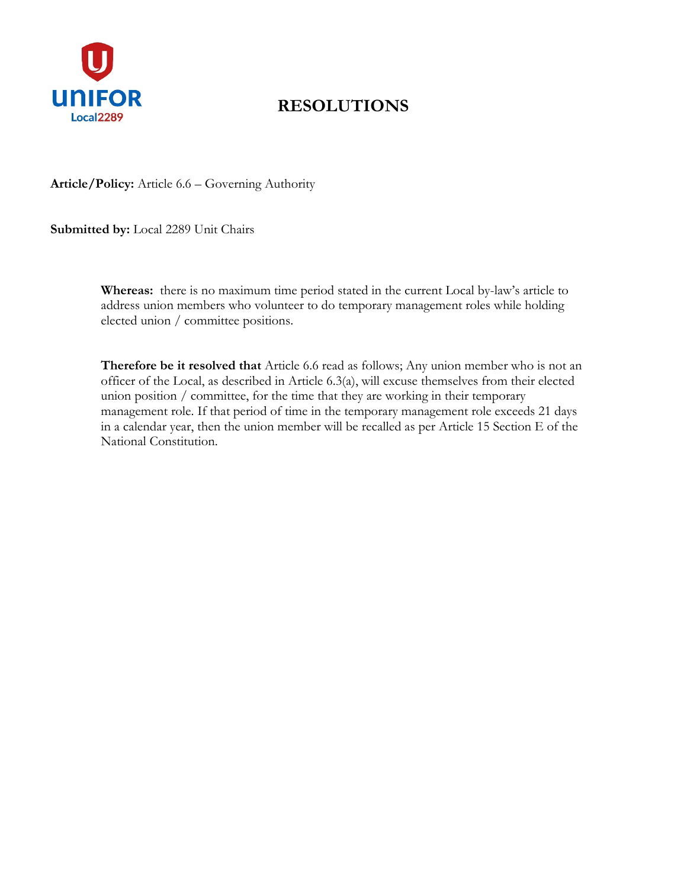

# **RESOLUTIONS**

**Article/Policy:** Article 6.6 – Governing Authority

**Submitted by:** Local 2289 Unit Chairs

**Whereas:** there is no maximum time period stated in the current Local by-law's article to address union members who volunteer to do temporary management roles while holding elected union / committee positions.

**Therefore be it resolved that** Article 6.6 read as follows; Any union member who is not an officer of the Local, as described in Article 6.3(a), will excuse themselves from their elected union position / committee, for the time that they are working in their temporary management role. If that period of time in the temporary management role exceeds 21 days in a calendar year, then the union member will be recalled as per Article 15 Section E of the National Constitution.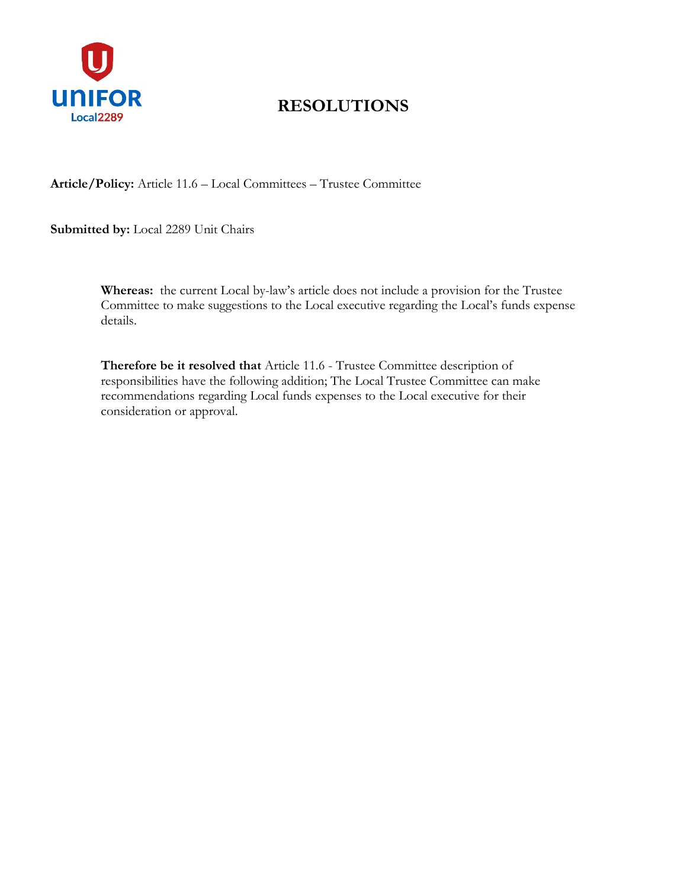

# **RESOLUTIONS**

**Article/Policy:** Article 11.6 – Local Committees – Trustee Committee

**Submitted by:** Local 2289 Unit Chairs

**Whereas:** the current Local by-law's article does not include a provision for the Trustee Committee to make suggestions to the Local executive regarding the Local's funds expense details.

**Therefore be it resolved that** Article 11.6 - Trustee Committee description of responsibilities have the following addition; The Local Trustee Committee can make recommendations regarding Local funds expenses to the Local executive for their consideration or approval.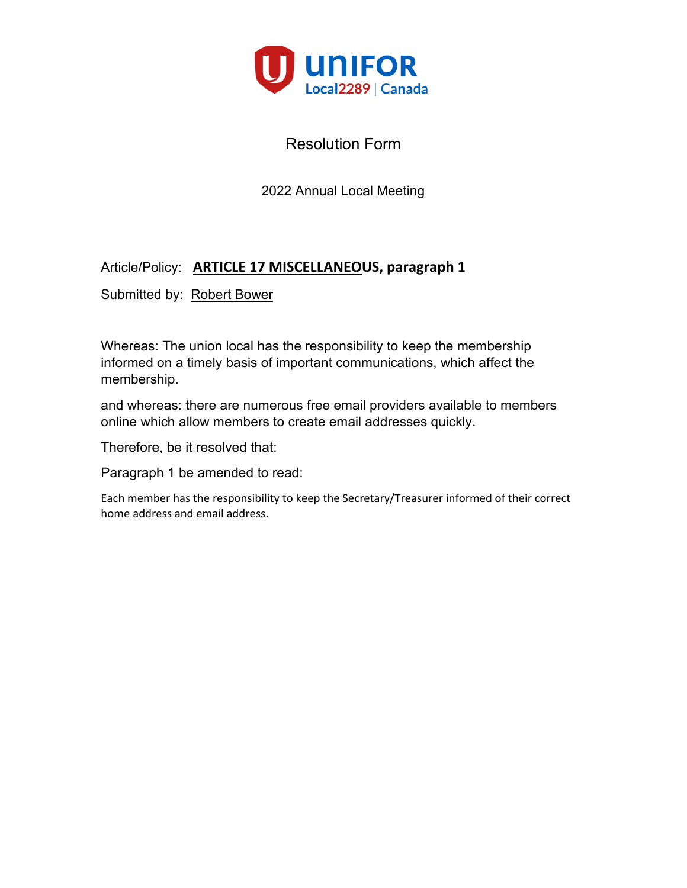

2022 Annual Local Meeting

#### Article/Policy: **ARTICLE 17 MISCELLANEOUS, paragraph 1**

Submitted by: Robert Bower

Whereas: The union local has the responsibility to keep the membership informed on a timely basis of important communications, which affect the membership.

and whereas: there are numerous free email providers available to members online which allow members to create email addresses quickly.

Therefore, be it resolved that:

Paragraph 1 be amended to read:

Each member has the responsibility to keep the Secretary/Treasurer informed of their correct home address and email address.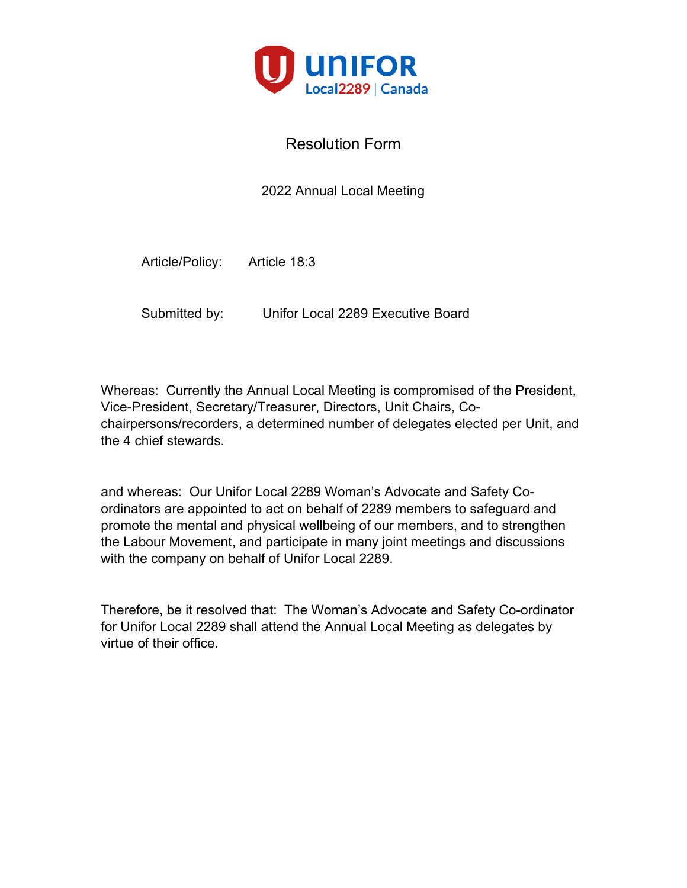

2022 Annual Local Meeting

Article/Policy: Article 18:3

Submitted by: Unifor Local 2289 Executive Board

Whereas: Currently the Annual Local Meeting is compromised of the President, Vice-President, Secretary/Treasurer, Directors, Unit Chairs, Cochairpersons/recorders, a determined number of delegates elected per Unit, and the 4 chief stewards.

and whereas: Our Unifor Local 2289 Woman's Advocate and Safety Coordinators are appointed to act on behalf of 2289 members to safeguard and promote the mental and physical wellbeing of our members, and to strengthen the Labour Movement, and participate in many joint meetings and discussions with the company on behalf of Unifor Local 2289.

Therefore, be it resolved that: The Woman's Advocate and Safety Co-ordinator for Unifor Local 2289 shall attend the Annual Local Meeting as delegates by virtue of their office.